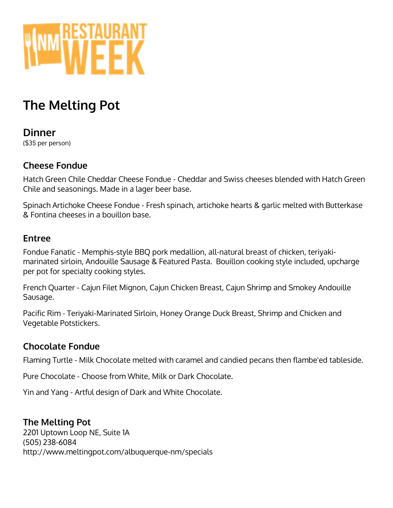

# **The Melting Pot**

#### **Dinner** (\$35 per person)

### **Cheese Fondue**

Hatch Green Chile Cheddar Cheese Fondue - Cheddar and Swiss cheeses blended with Hatch Green Chile and seasonings. Made in a lager beer base.

Spinach Artichoke Cheese Fondue - Fresh spinach, artichoke hearts & garlic melted with Butterkase & Fontina cheeses in a bouillon base.

#### **Entree**

Fondue Fanatic - Memphis-style BBQ pork medallion, all-natural breast of chicken, teriyakimarinated sirloin, Andouille Sausage & Featured Pasta. Bouillon cooking style included, upcharge per pot for specialty cooking styles.

French Quarter - Cajun Filet Mignon, Cajun Chicken Breast, Cajun Shrimp and Smokey Andouille Sausage.

Pacific Rim - Teriyaki-Marinated Sirloin, Honey Orange Duck Breast, Shrimp and Chicken and Vegetable Potstickers.

## **Chocolate Fondue**

Flaming Turtle - Milk Chocolate melted with caramel and candied pecans then flambe'ed tableside.

Pure Chocolate - Choose from White, Milk or Dark Chocolate.

Yin and Yang - Artful design of Dark and White Chocolate.

#### **The Melting Pot**

2201 Uptown Loop NE, Suite 1A (505) 238-6084 http://www.meltingpot.com/albuquerque-nm/specials